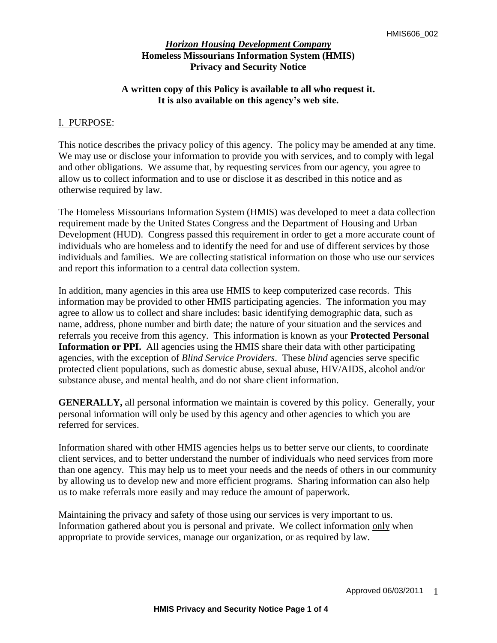## **A written copy of this Policy is available to all who request it. It is also available on this agency's web site.**

### I. PURPOSE:

This notice describes the privacy policy of this agency. The policy may be amended at any time. We may use or disclose your information to provide you with services, and to comply with legal and other obligations. We assume that, by requesting services from our agency, you agree to allow us to collect information and to use or disclose it as described in this notice and as otherwise required by law.

The Homeless Missourians Information System (HMIS) was developed to meet a data collection requirement made by the United States Congress and the Department of Housing and Urban Development (HUD). Congress passed this requirement in order to get a more accurate count of individuals who are homeless and to identify the need for and use of different services by those individuals and families. We are collecting statistical information on those who use our services and report this information to a central data collection system.

In addition, many agencies in this area use HMIS to keep computerized case records. This information may be provided to other HMIS participating agencies. The information you may agree to allow us to collect and share includes: basic identifying demographic data, such as name, address, phone number and birth date; the nature of your situation and the services and referrals you receive from this agency. This information is known as your **Protected Personal Information or PPI.** All agencies using the HMIS share their data with other participating agencies, with the exception of *Blind Service Providers*. These *blind* agencies serve specific protected client populations, such as domestic abuse, sexual abuse, HIV/AIDS, alcohol and/or substance abuse, and mental health, and do not share client information.

**GENERALLY,** all personal information we maintain is covered by this policy. Generally, your personal information will only be used by this agency and other agencies to which you are referred for services.

Information shared with other HMIS agencies helps us to better serve our clients, to coordinate client services, and to better understand the number of individuals who need services from more than one agency. This may help us to meet your needs and the needs of others in our community by allowing us to develop new and more efficient programs. Sharing information can also help us to make referrals more easily and may reduce the amount of paperwork.

Maintaining the privacy and safety of those using our services is very important to us. Information gathered about you is personal and private. We collect information only when appropriate to provide services, manage our organization, or as required by law.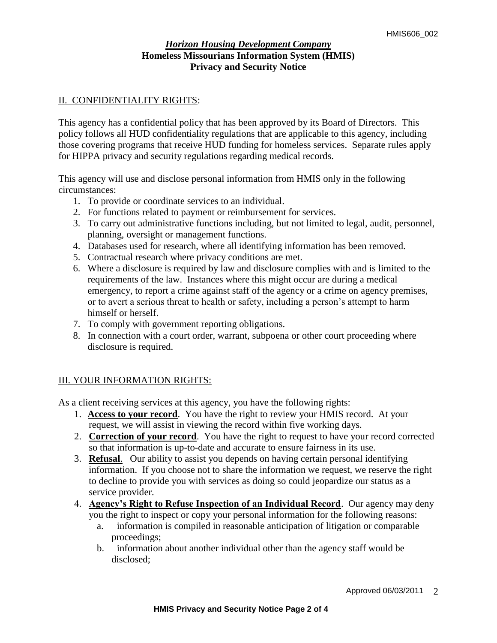## II. CONFIDENTIALITY RIGHTS:

This agency has a confidential policy that has been approved by its Board of Directors. This policy follows all HUD confidentiality regulations that are applicable to this agency, including those covering programs that receive HUD funding for homeless services. Separate rules apply for HIPPA privacy and security regulations regarding medical records.

This agency will use and disclose personal information from HMIS only in the following circumstances:

- 1. To provide or coordinate services to an individual.
- 2. For functions related to payment or reimbursement for services.
- 3. To carry out administrative functions including, but not limited to legal, audit, personnel, planning, oversight or management functions.
- 4. Databases used for research, where all identifying information has been removed.
- 5. Contractual research where privacy conditions are met.
- 6. Where a disclosure is required by law and disclosure complies with and is limited to the requirements of the law. Instances where this might occur are during a medical emergency, to report a crime against staff of the agency or a crime on agency premises, or to avert a serious threat to health or safety, including a person's attempt to harm himself or herself.
- 7. To comply with government reporting obligations.
- 8. In connection with a court order, warrant, subpoena or other court proceeding where disclosure is required.

# III. YOUR INFORMATION RIGHTS:

As a client receiving services at this agency, you have the following rights:

- 1. **Access to your record**. You have the right to review your HMIS record. At your request, we will assist in viewing the record within five working days.
- 2. **Correction of your record**. You have the right to request to have your record corrected so that information is up-to-date and accurate to ensure fairness in its use.
- 3. **Refusal**. Our ability to assist you depends on having certain personal identifying information. If you choose not to share the information we request, we reserve the right to decline to provide you with services as doing so could jeopardize our status as a service provider.
- 4. **Agency's Right to Refuse Inspection of an Individual Record**. Our agency may deny you the right to inspect or copy your personal information for the following reasons:
	- a. information is compiled in reasonable anticipation of litigation or comparable proceedings;
	- b. information about another individual other than the agency staff would be disclosed;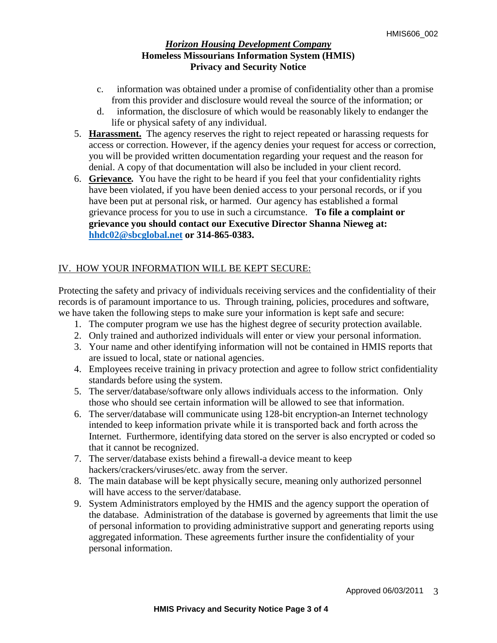- c. information was obtained under a promise of confidentiality other than a promise from this provider and disclosure would reveal the source of the information; or
- d. information, the disclosure of which would be reasonably likely to endanger the life or physical safety of any individual.
- 5. **Harassment.**The agency reserves the right to reject repeated or harassing requests for access or correction. However, if the agency denies your request for access or correction, you will be provided written documentation regarding your request and the reason for denial. A copy of that documentation will also be included in your client record.
- 6. **Grievance***.* You have the right to be heard if you feel that your confidentiality rights have been violated, if you have been denied access to your personal records, or if you have been put at personal risk, or harmed. Our agency has established a formal grievance process for you to use in such a circumstance.**To file a complaint or grievance you should contact our Executive Director Shanna Nieweg at: [hhdc02@sbcglobal.net](mailto:hhdc02@sbcglobal.net) or 314-865-0383.**

# IV. HOW YOUR INFORMATION WILL BE KEPT SECURE:

Protecting the safety and privacy of individuals receiving services and the confidentiality of their records is of paramount importance to us. Through training, policies, procedures and software, we have taken the following steps to make sure your information is kept safe and secure:

- 1. The computer program we use has the highest degree of security protection available.
- 2. Only trained and authorized individuals will enter or view your personal information.
- 3. Your name and other identifying information will not be contained in HMIS reports that are issued to local, state or national agencies.
- 4. Employees receive training in privacy protection and agree to follow strict confidentiality standards before using the system.
- 5. The server/database/software only allows individuals access to the information. Only those who should see certain information will be allowed to see that information.
- 6. The server/database will communicate using 128-bit encryption-an Internet technology intended to keep information private while it is transported back and forth across the Internet. Furthermore, identifying data stored on the server is also encrypted or coded so that it cannot be recognized.
- 7. The server/database exists behind a firewall-a device meant to keep hackers/crackers/viruses/etc. away from the server.
- 8. The main database will be kept physically secure, meaning only authorized personnel will have access to the server/database.
- 9. System Administrators employed by the HMIS and the agency support the operation of the database. Administration of the database is governed by agreements that limit the use of personal information to providing administrative support and generating reports using aggregated information. These agreements further insure the confidentiality of your personal information.